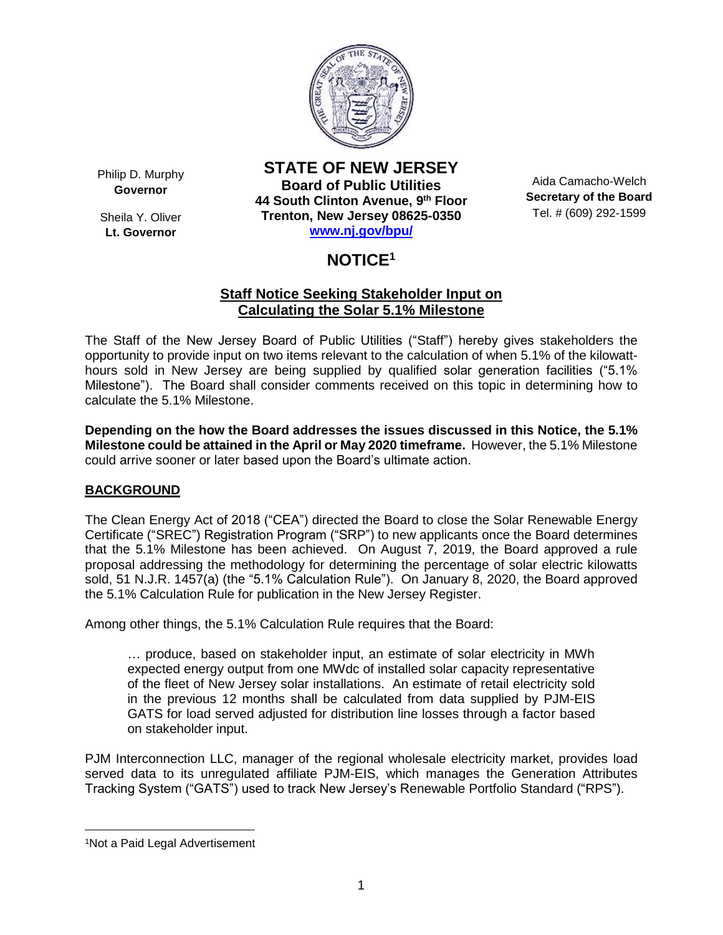

Philip D. Murphy **Governor**

Sheila Y. Oliver **Lt. Governor**

**STATE OF NEW JERSEY Board of Public Utilities 44 South Clinton Avenue, 9 th Floor Trenton, New Jersey 08625-0350 [www.nj.gov/bpu/](http://www.nj.gov/bpu/)**

Aida Camacho-Welch **Secretary of the Board** Tel. # (609) 292-1599

# **NOTICE<sup>1</sup>**

# **Staff Notice Seeking Stakeholder Input on Calculating the Solar 5.1% Milestone**

The Staff of the New Jersey Board of Public Utilities ("Staff") hereby gives stakeholders the opportunity to provide input on two items relevant to the calculation of when 5.1% of the kilowatthours sold in New Jersey are being supplied by qualified solar generation facilities ("5.1% Milestone"). The Board shall consider comments received on this topic in determining how to calculate the 5.1% Milestone.

**Depending on the how the Board addresses the issues discussed in this Notice, the 5.1% Milestone could be attained in the April or May 2020 timeframe.** However, the 5.1% Milestone could arrive sooner or later based upon the Board's ultimate action.

# **BACKGROUND**

The Clean Energy Act of 2018 ("CEA") directed the Board to close the Solar Renewable Energy Certificate ("SREC") Registration Program ("SRP") to new applicants once the Board determines that the 5.1% Milestone has been achieved. On August 7, 2019, the Board approved a rule proposal addressing the methodology for determining the percentage of solar electric kilowatts sold, 51 N.J.R. 1457(a) (the "5.1% Calculation Rule"). On January 8, 2020, the Board approved the 5.1% Calculation Rule for publication in the New Jersey Register.

Among other things, the 5.1% Calculation Rule requires that the Board:

… produce, based on stakeholder input, an estimate of solar electricity in MWh expected energy output from one MWdc of installed solar capacity representative of the fleet of New Jersey solar installations. An estimate of retail electricity sold in the previous 12 months shall be calculated from data supplied by PJM-EIS GATS for load served adjusted for distribution line losses through a factor based on stakeholder input.

PJM Interconnection LLC, manager of the regional wholesale electricity market, provides load served data to its unregulated affiliate PJM-EIS, which manages the Generation Attributes Tracking System ("GATS") used to track New Jersey's Renewable Portfolio Standard ("RPS").

 $\overline{\phantom{a}}$ 

<sup>1</sup>Not a Paid Legal Advertisement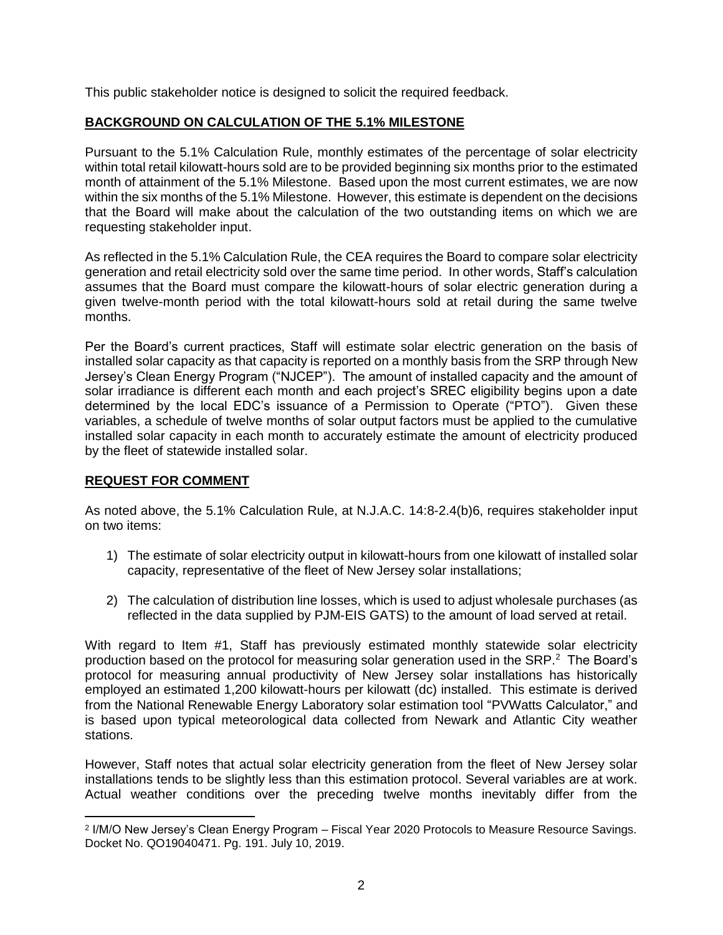This public stakeholder notice is designed to solicit the required feedback.

# **BACKGROUND ON CALCULATION OF THE 5.1% MILESTONE**

Pursuant to the 5.1% Calculation Rule, monthly estimates of the percentage of solar electricity within total retail kilowatt-hours sold are to be provided beginning six months prior to the estimated month of attainment of the 5.1% Milestone. Based upon the most current estimates, we are now within the six months of the 5.1% Milestone. However, this estimate is dependent on the decisions that the Board will make about the calculation of the two outstanding items on which we are requesting stakeholder input.

As reflected in the 5.1% Calculation Rule, the CEA requires the Board to compare solar electricity generation and retail electricity sold over the same time period. In other words, Staff's calculation assumes that the Board must compare the kilowatt-hours of solar electric generation during a given twelve-month period with the total kilowatt-hours sold at retail during the same twelve months.

Per the Board's current practices, Staff will estimate solar electric generation on the basis of installed solar capacity as that capacity is reported on a monthly basis from the SRP through New Jersey's Clean Energy Program ("NJCEP"). The amount of installed capacity and the amount of solar irradiance is different each month and each project's SREC eligibility begins upon a date determined by the local EDC's issuance of a Permission to Operate ("PTO"). Given these variables, a schedule of twelve months of solar output factors must be applied to the cumulative installed solar capacity in each month to accurately estimate the amount of electricity produced by the fleet of statewide installed solar.

# **REQUEST FOR COMMENT**

As noted above, the 5.1% Calculation Rule, at N.J.A.C. 14:8-2.4(b)6, requires stakeholder input on two items:

- 1) The estimate of solar electricity output in kilowatt-hours from one kilowatt of installed solar capacity, representative of the fleet of New Jersey solar installations;
- 2) The calculation of distribution line losses, which is used to adjust wholesale purchases (as reflected in the data supplied by PJM-EIS GATS) to the amount of load served at retail.

With regard to Item #1, Staff has previously estimated monthly statewide solar electricity production based on the protocol for measuring solar generation used in the SRP.<sup>2</sup> The Board's protocol for measuring annual productivity of New Jersey solar installations has historically employed an estimated 1,200 kilowatt-hours per kilowatt (dc) installed. This estimate is derived from the National Renewable Energy Laboratory solar estimation tool "PVWatts Calculator," and is based upon typical meteorological data collected from Newark and Atlantic City weather stations.

However, Staff notes that actual solar electricity generation from the fleet of New Jersey solar installations tends to be slightly less than this estimation protocol. Several variables are at work. Actual weather conditions over the preceding twelve months inevitably differ from the

 $\overline{a}$ 2 I/M/O New Jersey's Clean Energy Program – Fiscal Year 2020 Protocols to Measure Resource Savings. Docket No. QO19040471. Pg. 191. July 10, 2019.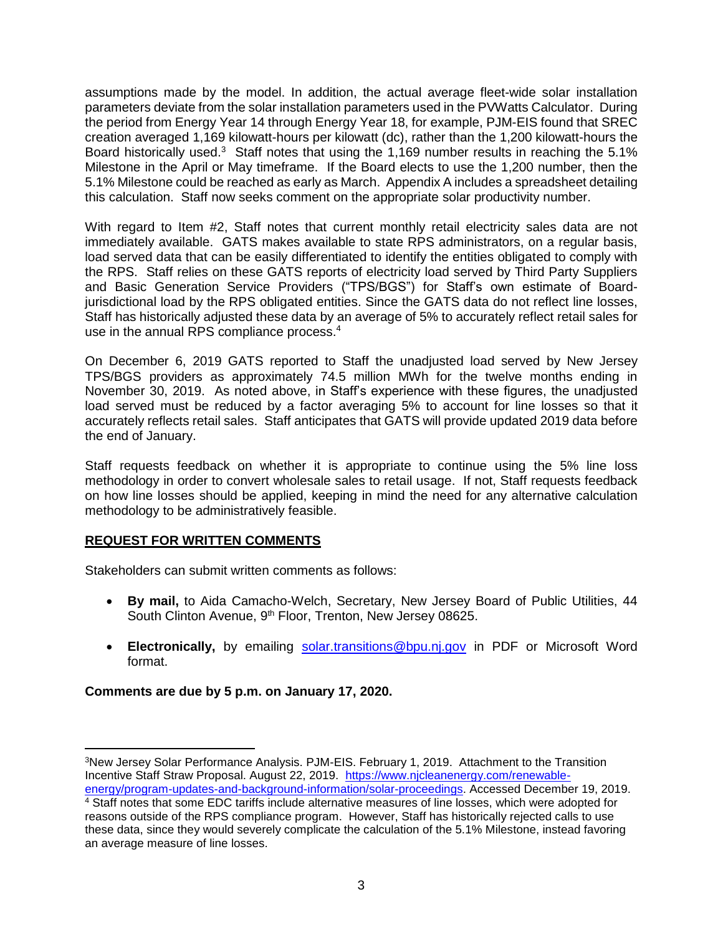assumptions made by the model. In addition, the actual average fleet-wide solar installation parameters deviate from the solar installation parameters used in the PVWatts Calculator. During the period from Energy Year 14 through Energy Year 18, for example, PJM-EIS found that SREC creation averaged 1,169 kilowatt-hours per kilowatt (dc), rather than the 1,200 kilowatt-hours the Board historically used.<sup>3</sup> Staff notes that using the 1,169 number results in reaching the 5.1% Milestone in the April or May timeframe. If the Board elects to use the 1,200 number, then the 5.1% Milestone could be reached as early as March. Appendix A includes a spreadsheet detailing this calculation. Staff now seeks comment on the appropriate solar productivity number.

With regard to Item #2, Staff notes that current monthly retail electricity sales data are not immediately available. GATS makes available to state RPS administrators, on a regular basis, load served data that can be easily differentiated to identify the entities obligated to comply with the RPS. Staff relies on these GATS reports of electricity load served by Third Party Suppliers and Basic Generation Service Providers ("TPS/BGS") for Staff's own estimate of Boardjurisdictional load by the RPS obligated entities. Since the GATS data do not reflect line losses, Staff has historically adjusted these data by an average of 5% to accurately reflect retail sales for use in the annual RPS compliance process. 4

On December 6, 2019 GATS reported to Staff the unadjusted load served by New Jersey TPS/BGS providers as approximately 74.5 million MWh for the twelve months ending in November 30, 2019. As noted above, in Staff's experience with these figures, the unadjusted load served must be reduced by a factor averaging 5% to account for line losses so that it accurately reflects retail sales. Staff anticipates that GATS will provide updated 2019 data before the end of January.

Staff requests feedback on whether it is appropriate to continue using the 5% line loss methodology in order to convert wholesale sales to retail usage. If not, Staff requests feedback on how line losses should be applied, keeping in mind the need for any alternative calculation methodology to be administratively feasible.

# **REQUEST FOR WRITTEN COMMENTS**

Stakeholders can submit written comments as follows:

- **By mail,** to Aida Camacho-Welch, Secretary, New Jersey Board of Public Utilities, 44 South Clinton Avenue, 9<sup>th</sup> Floor, Trenton, New Jersey 08625.
- **Electronically,** by emailing [solar.transitions@bpu.nj.gov](mailto:solar.transitions@bpu.nj.gov) in PDF or Microsoft Word format.

# **Comments are due by 5 p.m. on January 17, 2020.**

 $\overline{\phantom{a}}$ <sup>3</sup>New Jersey Solar Performance Analysis. PJM-EIS. February 1, 2019. Attachment to the Transition Incentive Staff Straw Proposal. August 22, 2019. [https://www.njcleanenergy.com/renewable](https://www.njcleanenergy.com/renewable-energy/program-updates-and-background-information/solar-proceedings)[energy/program-updates-and-background-information/solar-proceedings.](https://www.njcleanenergy.com/renewable-energy/program-updates-and-background-information/solar-proceedings) Accessed December 19, 2019.

<sup>&</sup>lt;sup>4</sup> Staff notes that some EDC tariffs include alternative measures of line losses, which were adopted for reasons outside of the RPS compliance program. However, Staff has historically rejected calls to use these data, since they would severely complicate the calculation of the 5.1% Milestone, instead favoring an average measure of line losses.